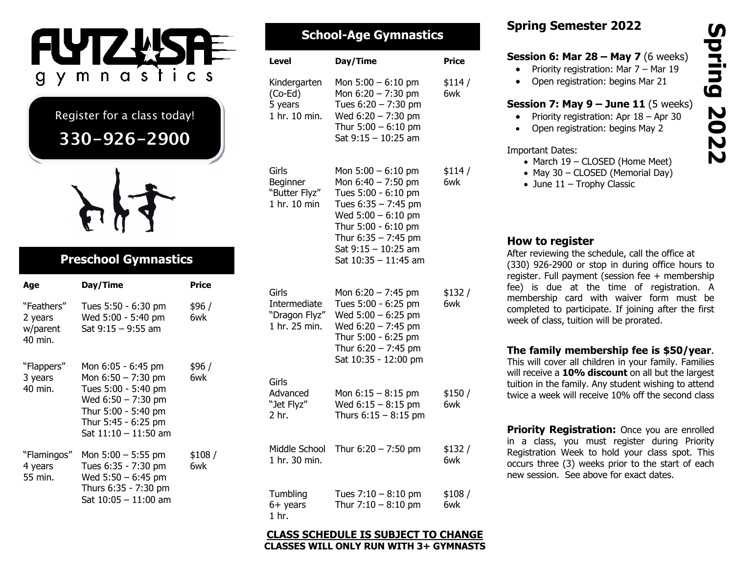

Register for a class today!

# **330-926-2900**



## **Preschool Gymnastics**

| Age                                          | Day/Time                                                                                                                                                        | Price         |
|----------------------------------------------|-----------------------------------------------------------------------------------------------------------------------------------------------------------------|---------------|
| "Feathers"<br>2 years<br>w/parent<br>40 min. | Tues 5:50 - 6:30 pm<br>Wed 5:00 - 5:40 pm<br>Sat 9:15 - 9:55 am                                                                                                 | \$96 /<br>6wk |
| "Flappers"<br>3 years<br>40 min.             | Mon 6:05 - 6:45 pm<br>Mon $6:50 - 7:30$ pm<br>Tues 5:00 - 5:40 pm<br>Wed $6:50 - 7:30$ pm<br>Thur 5:00 - 5:40 pm<br>Thur 5:45 - 6:25 pm<br>Sat 11:10 - 11:50 am | \$96 /<br>6wk |
| "Flamingos"<br>4 years<br>55 min.            | Mon 5:00 - 5:55 pm<br>Tues 6:35 - 7:30 pm<br>Wed $5:50 - 6:45$ pm<br>Thurs 6:35 - 7:30 pm<br>Sat 10:05 - 11:00 am                                               | \$108/<br>6wk |

| <b>School-Age Gymnastics</b> |                                                     |                                                                                                                                                                      |               | <b>Spring Semester 2022</b><br>Spring                                                                                                                                                                                                                                 |      |
|------------------------------|-----------------------------------------------------|----------------------------------------------------------------------------------------------------------------------------------------------------------------------|---------------|-----------------------------------------------------------------------------------------------------------------------------------------------------------------------------------------------------------------------------------------------------------------------|------|
|                              | <b>Level</b>                                        | Day/Time                                                                                                                                                             | <b>Price</b>  | <b>Session 6: Mar 28 - May 7</b> (6 weeks)<br>Priority registration: Mar 7 - Mar 19<br>$\bullet$                                                                                                                                                                      |      |
|                              | Kindergarten<br>(Co-Ed)<br>5 years<br>1 hr. 10 min. | Mon $5:00 - 6:10$ pm<br>Mon $6:20 - 7:30$ pm<br>Tues $6:20 - 7:30$ pm<br>Wed $6:20 - 7:30$ pm<br>Thur $5:00 - 6:10$ pm<br>Sat $9:15 - 10:25$ am                      | \$114/<br>6wk | Open registration: begins Mar 21<br>$\bullet$<br><b>Session 7: May <math>9 - June 11</math></b> (5 weeks)<br>Priority registration: Apr 18 - Apr 30<br>Open registration: begins May 2<br>$\bullet$<br><b>Important Dates:</b>                                        | 2022 |
|                              | Girls<br>Beginner<br>"Butter Flyz"<br>1 hr. 10 min  | Mon $5:00 - 6:10$ pm<br>Mon $6:40 - 7:50$ pm<br>Tues 5:00 - 6:10 pm<br>Tues $6:35 - 7:45$ pm<br>Wed $5:00 - 6:10$ pm<br>Thur 5:00 - 6:10 pm<br>Thur $6:35 - 7:45$ pm | \$114/<br>6wk | • March 19 - CLOSED (Home Meet)<br>• May 30 - CLOSED (Memorial Day)<br>• June $11$ – Trophy Classic                                                                                                                                                                   |      |
|                              | Girls<br>Intermediate                               | Sat $9:15 - 10:25$ am<br>Sat $10:35 - 11:45$ am<br>Mon $6:20 - 7:45$ pm<br>Tues 5:00 - 6:25 pm                                                                       | \$132/<br>6wk | How to register<br>After reviewing the schedule, call the office at<br>(330) 926-2900 or stop in during office hours to<br>register. Full payment (session fee + membership<br>fee) is due at the time of registration. A<br>membership card with waiver form must be |      |
|                              | "Dragon Flyz"<br>1 hr. 25 min.                      | Wed $5:00 - 6:25$ pm<br>Wed $6:20 - 7:45$ pm<br>Thur 5:00 - 6:25 pm<br>Thur $6:20 - 7:45$ pm<br>Sat 10:35 - 12:00 pm                                                 |               | completed to participate. If joining after the first<br>week of class, tuition will be prorated.<br>The family membership fee is \$50/year.<br>This will cover all children in your family. Families                                                                  |      |
|                              | Girls<br>Advanced<br>"Jet Flyz"<br>2 hr.            | Mon $6:15 - 8:15$ pm<br>Wed $6:15 - 8:15$ pm<br>Thurs $6:15 - 8:15$ pm                                                                                               | \$150/<br>6wk | will receive a 10% discount on all but the largest<br>tuition in the family. Any student wishing to attend<br>twice a week will receive 10% off the second class                                                                                                      |      |
|                              | Middle School<br>1 hr. 30 min.                      | Thur $6:20 - 7:50$ pm                                                                                                                                                | \$132/<br>6wk | Priority Registration: Once you are enrolled<br>in a class, you must register during Priority<br>Registration Week to hold your class spot. This<br>occurs three (3) weeks prior to the start of each<br>new session. See above for exact dates.                      |      |
|                              | Tumbling<br>$6+$ years<br>1 <sub>hr.</sub>          | Tues $7:10 - 8:10$ pm<br>Thur $7:10 - 8:10$ pm                                                                                                                       | \$108/<br>6wk |                                                                                                                                                                                                                                                                       |      |

#### **CLASS SCHEDULE IS SUBJECT TO CHANGE CLASSES WILL ONLY RUN WITH 3+ GYMNASTS**

## **Spring Semester 2022**

#### **Session 6: Mar 28 – May 7** (6 weeks)

- Priority registration: Mar 7 Mar 19
- Open registration: begins Mar 21

#### **Session 7: May 9 – June 11** (5 weeks)

- Priority registration: Apr  $18 -$  Apr 30
- Open registration: begins May 2

#### Important Dates:

- March 19 CLOSED (Home Meet)
- May 30 CLOSED (Memorial Day)
- June  $11$  Trophy Classic

## **How to register**

## **The family membership fee is \$50/year**.